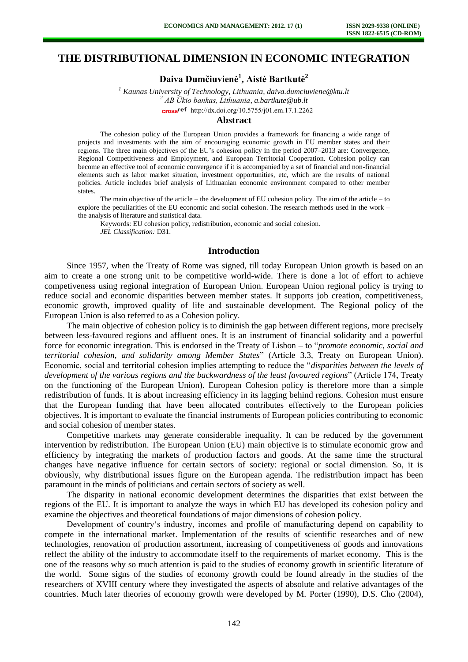# **THE DISTRIBUTIONAL DIMENSION IN ECONOMIC INTEGRATION**

**Daiva Dumčiuvienė<sup>1</sup> , Aistė Bartkutė<sup>2</sup>**

*1 Kaunas University of Technology, Lithuania[, daiva.dumciuviene@ktu.lt](mailto:daiva.dumciuviene@ktu.lt) <sup>2</sup> AB Ūkio bankas, Lithuania, a.bartkute@ub.lt*  cross<sup>ref</sup> [http://dx.doi.org/10.5755/j01.e](http://dx.doi.org/10.5755/j01.em.17.1.2262)m.17.1.2262

## **Abstract**

The cohesion policy of the European Union provides a framework for financing a wide range of projects and investments with the aim of encouraging economic growth in EU member states and their regions. The three main objectives of the EU's cohesion policy in the period 2007–2013 are: Convergence, Regional Competitiveness and Employment, and European Territorial Cooperation. Cohesion policy can become an effective tool of economic convergence if it is accompanied by a set of financial and non-financial elements such as labor market situation, investment opportunities, etc, which are the results of national policies. Article includes brief analysis of Lithuanian economic environment compared to other member states.

The main objective of the article – the development of EU cohesion policy. The aim of the article – to explore the peculiarities of the EU economic and social cohesion. The research methods used in the work – the analysis of literature and statistical data.

Keywords: EU cohesion policy, redistribution, economic and social cohesion. *JEL Classification:* D31.

### **Introduction**

Since 1957, when the Treaty of Rome was signed, till today European Union growth is based on an aim to create a one strong unit to be competitive world-wide. There is done a lot of effort to achieve competiveness using regional integration of European Union. European Union regional policy is trying to reduce social and economic disparities between member states. It supports job creation, competitiveness, economic growth, improved quality of life and sustainable development. The Regional policy of the European Union is also referred to as a Cohesion policy.

The main objective of cohesion policy is to diminish the gap between different regions, more precisely between less-favoured regions and affluent ones. It is an instrument of financial solidarity and a powerful force for economic integration. This is endorsed in the Treaty of Lisbon – to "*promote economic, social and territorial cohesion, and solidarity among Member States*" (Article 3.3, Treaty on European Union). Economic, social and territorial cohesion implies attempting to reduce the "*disparities between the levels of development of the various regions and the backwardness of the least favoured regions*" (Article 174, Treaty on the functioning of the European Union). European Cohesion policy is therefore more than a simple redistribution of funds. It is about increasing efficiency in its lagging behind regions. Cohesion must ensure that the European funding that have been allocated contributes effectively to the European policies objectives. It is important to evaluate the financial instruments of European policies contributing to economic and social cohesion of member states.

Competitive markets may generate considerable inequality. It can be reduced by the government intervention by redistribution. The European Union (EU) main objective is to stimulate economic grow and efficiency by integrating the markets of production factors and goods. At the same time the structural changes have negative influence for certain sectors of society: regional or social dimension. So, it is obviously, why distributional issues figure on the European agenda. The redistribution impact has been paramount in the minds of politicians and certain sectors of society as well.

The disparity in national economic development determines the disparities that exist between the regions of the EU. It is important to analyze the ways in which EU has developed its cohesion policy and examine the objectives and theoretical foundations of major dimensions of cohesion policy.

Development of country's industry, incomes and profile of manufacturing depend on capability to compete in the international market. Implementation of the results of scientific researches and of new technologies, renovation of production assortment, increasing of competitiveness of goods and innovations reflect the ability of the industry to accommodate itself to the requirements of market economy. This is the one of the reasons why so much attention is paid to the studies of economy growth in scientific literature of the world. Some signs of the studies of economy growth could be found already in the studies of the researchers of XVIII century where they investigated the aspects of absolute and relative advantages of the countries. Much later theories of economy growth were developed by M. Porter (1990), D.S. Cho (2004),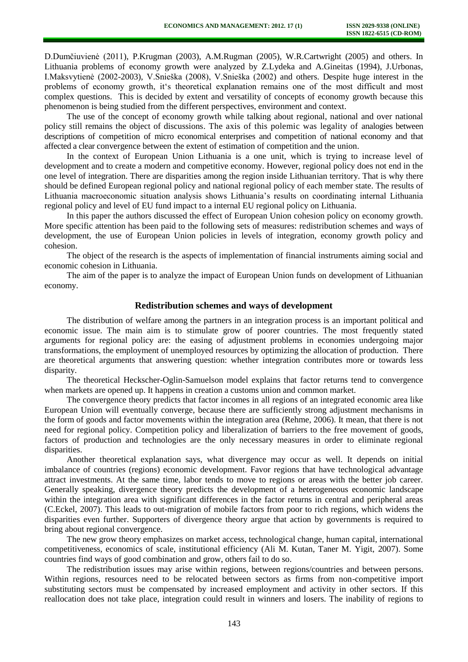D.Dumčiuvienė (2011), P.Krugman (2003), A.M.Rugman (2005), W.R.Cartwright (2005) and others. In Lithuania problems of economy growth were analyzed by Z.Lydeka and A.Gineitas (1994), J.Urbonas, I.Maksvytienė (2002-2003), V.Snieška (2008), V.Snieška (2002) and others. Despite huge interest in the problems of economy growth, it's theoretical explanation remains one of the most difficult and most complex questions. This is decided by extent and versatility of concepts of economy growth because this phenomenon is being studied from the different perspectives, environment and context.

The use of the concept of economy growth while talking about regional, national and over national policy still remains the object of discussions. The axis of this polemic was legality of analogies between descriptions of competition of micro economical enterprises and competition of national economy and that affected a clear convergence between the extent of estimation of competition and the union.

In the context of European Union Lithuania is a one unit, which is trying to increase level of development and to create a modern and competitive economy. However, regional policy does not end in the one level of integration. There are disparities among the region inside Lithuanian territory. That is why there should be defined European regional policy and national regional policy of each member state. The results of Lithuania macroeconomic situation analysis shows Lithuania's results on coordinating internal Lithuania regional policy and level of EU fund impact to a internal EU regional policy on Lithuania.

In this paper the authors discussed the effect of European Union cohesion policy on economy growth. More specific attention has been paid to the following sets of measures: redistribution schemes and ways of development, the use of European Union policies in levels of integration, economy growth policy and cohesion.

The object of the research is the aspects of implementation of financial instruments aiming social and economic cohesion in Lithuania.

The aim of the paper is to analyze the impact of European Union funds on development of Lithuanian economy.

## **Redistribution schemes and ways of development**

The distribution of welfare among the partners in an integration process is an important political and economic issue. The main aim is to stimulate grow of poorer countries. The most frequently stated arguments for regional policy are: the easing of adjustment problems in economies undergoing major transformations, the employment of unemployed resources by optimizing the allocation of production. There are theoretical arguments that answering question: whether integration contributes more or towards less disparity.

The theoretical Heckscher-Oglin-Samuelson model explains that factor returns tend to convergence when markets are opened up. It happens in creation a customs union and common market.

The convergence theory predicts that factor incomes in all regions of an integrated economic area like European Union will eventually converge, because there are sufficiently strong adjustment mechanisms in the form of goods and factor movements within the integration area (Rehme, 2006). It mean, that there is not need for regional policy. Competition policy and liberalization of barriers to the free movement of goods, factors of production and technologies are the only necessary measures in order to eliminate regional disparities.

Another theoretical explanation says, what divergence may occur as well. It depends on initial imbalance of countries (regions) economic development. Favor regions that have technological advantage attract investments. At the same time, labor tends to move to regions or areas with the better job career. Generally speaking, divergence theory predicts the development of a heterogeneous economic landscape within the integration area with significant differences in the factor returns in central and peripheral areas (C.Eckel, 2007). This leads to out-migration of mobile factors from poor to rich regions, which widens the disparities even further. Supporters of divergence theory argue that action by governments is required to bring about regional convergence.

The new grow theory emphasizes on market access, technological change, human capital, international competitiveness, economics of scale, institutional efficiency (Ali M. Kutan, Taner M. Yigit, 2007). Some countries find ways of good combination and grow, others fail to do so.

The redistribution issues may arise within regions, between regions/countries and between persons. Within regions, resources need to be relocated between sectors as firms from non-competitive import substituting sectors must be compensated by increased employment and activity in other sectors. If this reallocation does not take place, integration could result in winners and losers. The inability of regions to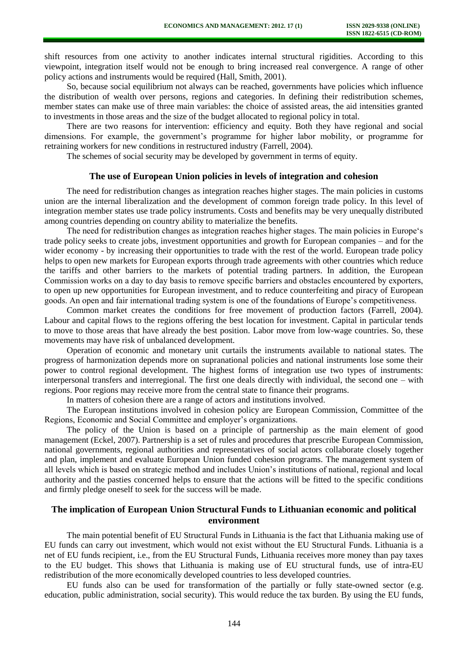shift resources from one activity to another indicates internal structural rigidities. According to this viewpoint, integration itself would not be enough to bring increased real convergence. A range of other policy actions and instruments would be required (Hall, Smith, 2001).

So, because social equilibrium not always can be reached, governments have policies which influence the distribution of wealth over persons, regions and categories. In defining their redistribution schemes, member states can make use of three main variables: the choice of assisted areas, the aid intensities granted to investments in those areas and the size of the budget allocated to regional policy in total.

There are two reasons for intervention: efficiency and equity. Both they have regional and social dimensions. For example, the government's programme for higher labor mobility, or programme for retraining workers for new conditions in restructured industry (Farrell, 2004).

The schemes of social security may be developed by government in terms of equity.

#### **The use of European Union policies in levels of integration and cohesion**

The need for redistribution changes as integration reaches higher stages. The main policies in customs union are the internal liberalization and the development of common foreign trade policy. In this level of integration member states use trade policy instruments. Costs and benefits may be very unequally distributed among countries depending on country ability to materialize the benefits.

The need for redistribution changes as integration reaches higher stages. The main policies in Europe's trade policy seeks to create jobs, investment opportunities and growth for European companies – and for the wider economy - by increasing their opportunities to trade with the rest of the world. European trade policy helps to open new markets for European exports through trade agreements with other countries which reduce the tariffs and other barriers to the markets of potential trading partners. In addition, the European Commission works on a day to day basis to remove specific barriers and obstacles encountered by exporters, to open up new opportunities for European investment, and to reduce counterfeiting and piracy of European goods. An open and fair international trading system is one of the foundations of Europe's competitiveness.

Common market creates the conditions for free movement of production factors (Farrell, 2004). Labour and capital flows to the regions offering the best location for investment. Capital in particular tends to move to those areas that have already the best position. Labor move from low-wage countries. So, these movements may have risk of unbalanced development.

Operation of economic and monetary unit curtails the instruments available to national states. The progress of harmonization depends more on supranational policies and national instruments lose some their power to control regional development. The highest forms of integration use two types of instruments: interpersonal transfers and interregional. The first one deals directly with individual, the second one – with regions. Poor regions may receive more from the central state to finance their programs.

In matters of cohesion there are a range of actors and institutions involved.

The European institutions involved in cohesion policy are European Commission, Committee of the Regions, Economic and Social Committee and employer's organizations.

The policy of the Union is based on a principle of partnership as the main element of good management (Eckel, 2007). Partnership is a set of rules and procedures that prescribe European Commission, national governments, regional authorities and representatives of social actors collaborate closely together and plan, implement and evaluate European Union funded cohesion programs. The management system of all levels which is based on strategic method and includes Union's institutions of national, regional and local authority and the pasties concerned helps to ensure that the actions will be fitted to the specific conditions and firmly pledge oneself to seek for the success will be made.

## **The implication of European Union Structural Funds to Lithuanian economic and political environment**

The main potential benefit of EU Structural Funds in Lithuania is the fact that Lithuania making use of EU funds can carry out investment, which would not exist without the EU Structural Funds. Lithuania is a net of EU funds recipient, i.e., from the EU Structural Funds, Lithuania receives more money than pay taxes to the EU budget. This shows that Lithuania is making use of EU structural funds, use of intra-EU redistribution of the more economically developed countries to less developed countries.

EU funds also can be used for transformation of the partially or fully state-owned sector (e.g. education, public administration, social security). This would reduce the tax burden. By using the EU funds,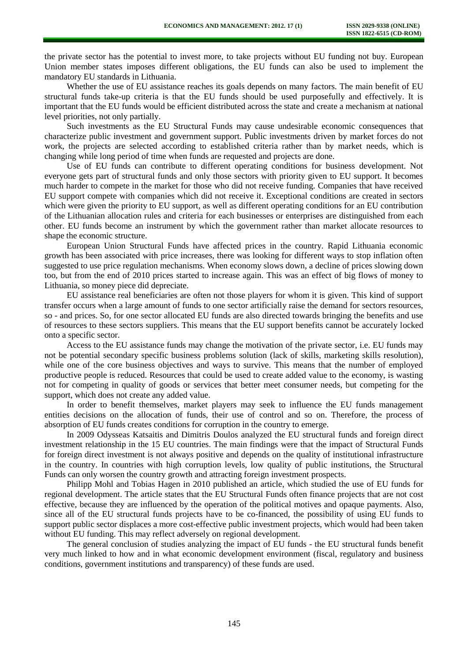the private sector has the potential to invest more, to take projects without EU funding not buy. European Union member states imposes different obligations, the EU funds can also be used to implement the mandatory EU standards in Lithuania.

Whether the use of EU assistance reaches its goals depends on many factors. The main benefit of EU structural funds take-up criteria is that the EU funds should be used purposefully and effectively. It is important that the EU funds would be efficient distributed across the state and create a mechanism at national level priorities, not only partially.

Such investments as the EU Structural Funds may cause undesirable economic consequences that characterize public investment and government support. Public investments driven by market forces do not work, the projects are selected according to established criteria rather than by market needs, which is changing while long period of time when funds are requested and projects are done.

Use of EU funds can contribute to different operating conditions for business development. Not everyone gets part of structural funds and only those sectors with priority given to EU support. It becomes much harder to compete in the market for those who did not receive funding. Companies that have received EU support compete with companies which did not receive it. Exceptional conditions are created in sectors which were given the priority to EU support, as well as different operating conditions for an EU contribution of the Lithuanian allocation rules and criteria for each businesses or enterprises are distinguished from each other. EU funds become an instrument by which the government rather than market allocate resources to shape the economic structure.

European Union Structural Funds have affected prices in the country. Rapid Lithuania economic growth has been associated with price increases, there was looking for different ways to stop inflation often suggested to use price regulation mechanisms. When economy slows down, a decline of prices slowing down too, but from the end of 2010 prices started to increase again. This was an effect of big flows of money to Lithuania, so money piece did depreciate.

EU assistance real beneficiaries are often not those players for whom it is given. This kind of support transfer occurs when a large amount of funds to one sector artificially raise the demand for sectors resources, so - and prices. So, for one sector allocated EU funds are also directed towards bringing the benefits and use of resources to these sectors suppliers. This means that the EU support benefits cannot be accurately locked onto a specific sector.

Access to the EU assistance funds may change the motivation of the private sector, i.e. EU funds may not be potential secondary specific business problems solution (lack of skills, marketing skills resolution), while one of the core business objectives and ways to survive. This means that the number of employed productive people is reduced. Resources that could be used to create added value to the economy, is wasting not for competing in quality of goods or services that better meet consumer needs, but competing for the support, which does not create any added value.

In order to benefit themselves, market players may seek to influence the EU funds management entities decisions on the allocation of funds, their use of control and so on. Therefore, the process of absorption of EU funds creates conditions for corruption in the country to emerge.

In 2009 Odysseas Katsaitis and Dimitris Doulos analyzed the EU structural funds and foreign direct investment relationship in the 15 EU countries. The main findings were that the impact of Structural Funds for foreign direct investment is not always positive and depends on the quality of institutional infrastructure in the country. In countries with high corruption levels, low quality of public institutions, the Structural Funds can only worsen the country growth and attracting foreign investment prospects.

Philipp Mohl and Tobias Hagen in 2010 published an article, which studied the use of EU funds for regional development. The article states that the EU Structural Funds often finance projects that are not cost effective, because they are influenced by the operation of the political motives and opaque payments. Also, since all of the EU structural funds projects have to be co-financed, the possibility of using EU funds to support public sector displaces a more cost-effective public investment projects, which would had been taken without EU funding. This may reflect adversely on regional development.

The general conclusion of studies analyzing the impact of EU funds - the EU structural funds benefit very much linked to how and in what economic development environment (fiscal, regulatory and business conditions, government institutions and transparency) of these funds are used.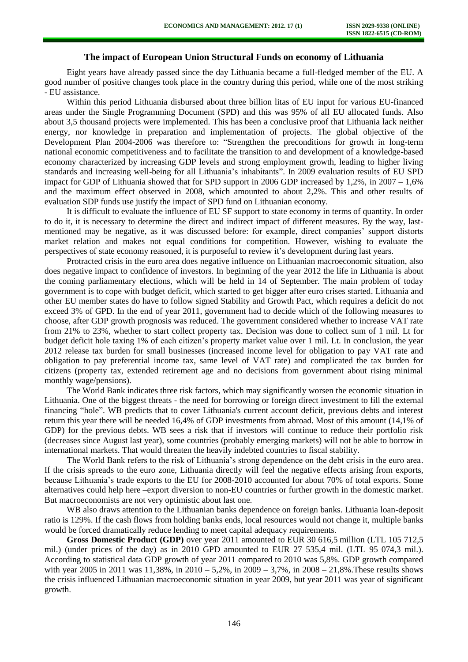### **The impact of European Union Structural Funds on economy of Lithuania**

Eight years have already passed since the day Lithuania became a full-fledged member of the EU. A good number of positive changes took place in the country during this period, while one of the most striking - EU assistance.

Within this period Lithuania disbursed about three billion litas of EU input for various EU-financed areas under the Single Programming Document (SPD) and this was 95% of all EU allocated funds. Also about 3,5 thousand projects were implemented. This has been a conclusive proof that Lithuania lack neither energy, nor knowledge in preparation and implementation of projects. The global objective of the Development Plan 2004-2006 was therefore to: "Strengthen the preconditions for growth in long-term national economic competitiveness and to facilitate the transition to and development of a knowledge-based economy characterized by increasing GDP levels and strong employment growth, leading to higher living standards and increasing well-being for all Lithuania's inhabitants". In 2009 evaluation results of EU SPD impact for GDP of Lithuania showed that for SPD support in 2006 GDP increased by 1,2%, in 2007 – 1,6% and the maximum effect observed in 2008, which amounted to about 2,2%. This and other results of evaluation SDP funds use justify the impact of SPD fund on Lithuanian economy.

It is difficult to evaluate the influence of EU SF support to state economy in terms of quantity. In order to do it, it is necessary to determine the direct and indirect impact of different measures. By the way, lastmentioned may be negative, as it was discussed before: for example, direct companies' support distorts market relation and makes not equal conditions for competition. However, wishing to evaluate the perspectives of state economy reasoned, it is purposeful to review it's development during last years.

Protracted crisis in the euro area does negative influence on Lithuanian macroeconomic situation, also does negative impact to confidence of investors. In beginning of the year 2012 the life in Lithuania is about the coming parliamentary elections, which will be held in 14 of September. The main problem of today government is to cope with budget deficit, which started to get bigger after euro crises started. Lithuania and other EU member states do have to follow signed Stability and Growth Pact, which requires a deficit do not exceed 3% of GPD. In the end of year 2011, government had to decide which of the following measures to choose, after GDP growth prognosis was reduced. The government considered whether to increase VAT rate from 21% to 23%, whether to start collect property tax. Decision was done to collect sum of 1 mil. Lt for budget deficit hole taxing 1% of each citizen's property market value over 1 mil. Lt. In conclusion, the year 2012 release tax burden for small businesses (increased income level for obligation to pay VAT rate and obligation to pay preferential income tax, same level of VAT rate) and complicated the tax burden for citizens (property tax, extended retirement age and no decisions from government about rising minimal monthly wage/pensions).

The World Bank indicates three risk factors, which may significantly worsen the economic situation in Lithuania. One of the biggest threats - the need for borrowing or foreign direct investment to fill the external financing "hole". WB predicts that to cover Lithuania's current account deficit, previous debts and interest return this year there will be needed 16,4% of GDP investments from abroad. Most of this amount (14,1% of GDP) for the previous debts. WB sees a risk that if investors will continue to reduce their portfolio risk (decreases since August last year), some countries (probably emerging markets) will not be able to borrow in international markets. That would threaten the heavily indebted countries to fiscal stability.

The World Bank refers to the risk of Lithuania's strong dependence on the debt crisis in the euro area. If the crisis spreads to the euro zone, Lithuania directly will feel the negative effects arising from exports, because Lithuania's trade exports to the EU for 2008-2010 accounted for about 70% of total exports. Some alternatives could help here –export diversion to non-EU countries or further growth in the domestic market. But macroeconomists are not very optimistic about last one.

WB also draws attention to the Lithuanian banks dependence on foreign banks. Lithuania loan-deposit ratio is 129%. If the cash flows from holding banks ends, local resources would not change it, multiple banks would be forced dramatically reduce lending to meet capital adequacy requirements.

**Gross Domestic Product (GDP)** over year 2011 amounted to EUR 30 616,5 million (LTL 105 712,5 mil.) (under prices of the day) as in 2010 GPD amounted to EUR 27 535,4 mil. (LTL 95 074,3 mil.). According to statistical data GDP growth of year 2011 compared to 2010 was 5,8%. GDP growth compared with year 2005 in 2011 was 11,38%, in 2010 – 5,2%, in 2009 – 3,7%, in 2008 – 21,8%.These results shows the crisis influenced Lithuanian macroeconomic situation in year 2009, but year 2011 was year of significant growth.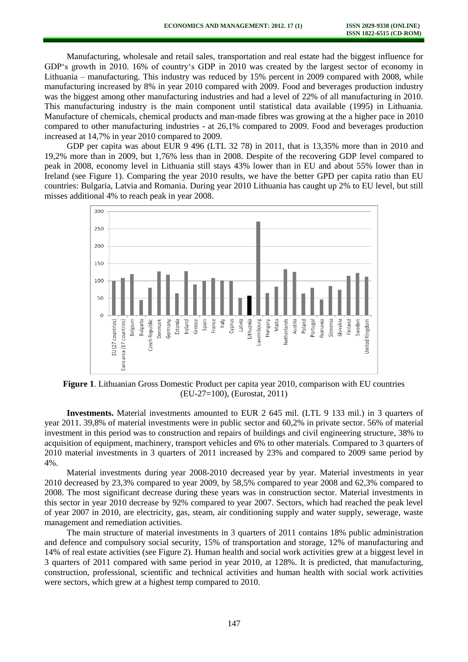Manufacturing, wholesale and retail sales, transportation and real estate had the biggest influence for GDP's growth in 2010. 16% of country's GDP in 2010 was created by the largest sector of economy in Lithuania – manufacturing. This industry was reduced by 15% percent in 2009 compared with 2008, while manufacturing increased by 8% in year 2010 compared with 2009. Food and beverages production industry was the biggest among other manufacturing industries and had a level of 22% of all manufacturing in 2010. This manufacturing industry is the main component until statistical data available (1995) in Lithuania. Manufacture of chemicals, chemical products and man-made fibres was growing at the a higher pace in 2010 compared to other manufacturing industries - at 26,1% compared to 2009. Food and beverages production increased at 14,7% in year 2010 compared to 2009.

GDP per capita was about EUR 9 496 (LTL 32 78) in 2011, that is 13,35% more than in 2010 and 19,2% more than in 2009, but 1,76% less than in 2008. Despite of the recovering GDP level compared to peak in 2008, economy level in Lithuania still stays 43% lower than in EU and about 55% lower than in Ireland (see Figure 1). Comparing the year 2010 results, we have the better GPD per capita ratio than EU countries: Bulgaria, Latvia and Romania. During year 2010 Lithuania has caught up 2% to EU level, but still misses additional 4% to reach peak in year 2008.



**Figure 1**. Lithuanian Gross Domestic Product per capita year 2010, comparison with EU countries (EU-27=100), (Eurostat, 2011)

**Investments.** Material investments amounted to EUR 2 645 mil. (LTL 9 133 mil.) in 3 quarters of year 2011. 39,8% of material investments were in public sector and 60,2% in private sector. 56% of material investment in this period was to construction and repairs of buildings and civil engineering structure, 38% to acquisition of equipment, machinery, transport vehicles and 6% to other materials. Compared to 3 quarters of 2010 material investments in 3 quarters of 2011 increased by 23% and compared to 2009 same period by 4%.

Material investments during year 2008-2010 decreased year by year. Material investments in year 2010 decreased by 23,3% compared to year 2009, by 58,5% compared to year 2008 and 62,3% compared to 2008. The most significant decrease during these years was in construction sector. Material investments in this sector in year 2010 decrease by 92% compared to year 2007. Sectors, which had reached the peak level of year 2007 in 2010, are electricity, gas, steam, air conditioning supply and water supply, sewerage, waste management and remediation activities.

The main structure of material investments in 3 quarters of 2011 contains 18% public administration and defence and compulsory social security, 15% of transportation and storage, 12% of manufacturing and 14% of real estate activities (see Figure 2). Human health and social work activities grew at a biggest level in 3 quarters of 2011 compared with same period in year 2010, at 128%. It is predicted, that manufacturing, construction, professional, scientific and technical activities and human health with social work activities were sectors, which grew at a highest temp compared to 2010.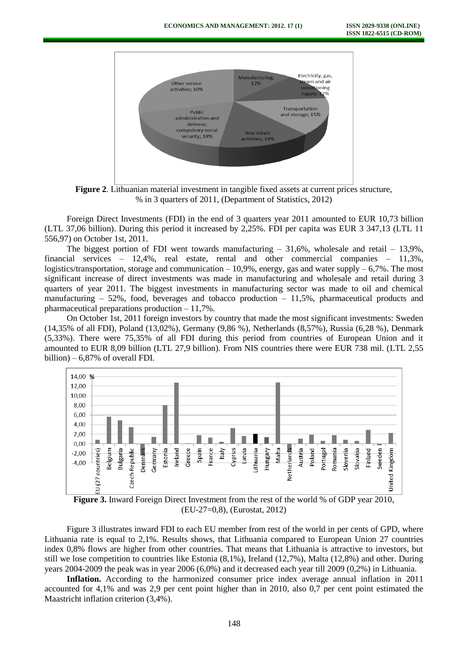

**Figure 2**. Lithuanian material investment in tangible fixed assets at current prices structure, % in 3 quarters of 2011, (Department of Statistics, 2012)

Foreign Direct Investments (FDI) in the end of 3 quarters year 2011 amounted to EUR 10,73 billion (LTL 37,06 billion). During this period it increased by 2,25%. FDI per capita was EUR 3 347,13 (LTL 11 556,97) on October 1st, 2011.

The biggest portion of FDI went towards manufacturing  $-31.6\%$ , wholesale and retail  $-13.9\%$ . financial services – 12,4%, real estate, rental and other commercial companies – 11,3%, logistics/transportation, storage and communication  $-10.9\%$ , energy, gas and water supply  $-6.7\%$ . The most significant increase of direct investments was made in manufacturing and wholesale and retail during 3 quarters of year 2011. The biggest investments in manufacturing sector was made to oil and chemical manufacturing  $-52\%$ , food, beverages and tobacco production  $-11.5\%$ , pharmaceutical products and pharmaceutical preparations production – 11,7%.

On October 1st, 2011 foreign investors by country that made the most significant investments: Sweden (14,35% of all FDI), Poland (13,02%), Germany (9,86 %), Netherlands (8,57%), Russia (6,28 %), Denmark (5,33%). There were 75,35% of all FDI during this period from countries of European Union and it amounted to EUR 8,09 billion (LTL 27,9 billion). From NIS countries there were EUR 738 mil. (LTL 2,55 billion) – 6,87% of overall FDI.



**Figure 3.** Inward Foreign Direct Investment from the rest of the world % of GDP year 2010, (EU-27=0,8), (Eurostat, 2012)

Figure 3 illustrates inward FDI to each EU member from rest of the world in per cents of GPD, where Lithuania rate is equal to 2,1%. Results shows, that Lithuania compared to European Union 27 countries index 0,8% flows are higher from other countries. That means that Lithuania is attractive to investors, but still we lose competition to countries like Estonia (8,1%), Ireland (12,7%), Malta (12,8%) and other. During years 2004-2009 the peak was in year 2006 (6,0%) and it decreased each year till 2009 (0,2%) in Lithuania.

**Inflation.** According to the harmonized consumer price index average annual inflation in 2011 accounted for 4,1% and was 2,9 per cent point higher than in 2010, also 0,7 per cent point estimated the Maastricht inflation criterion (3,4%).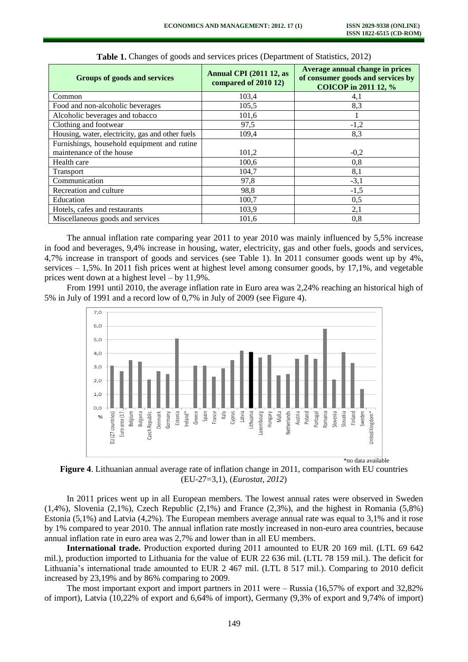| <b>Groups of goods and services</b>              | <b>Annual CPI (2011 12, as</b><br>compared of 2010 12) | Average annual change in prices<br>of consumer goods and services by<br>COICOP in 2011 12, % |
|--------------------------------------------------|--------------------------------------------------------|----------------------------------------------------------------------------------------------|
| Common                                           | 103,4                                                  | 4,1                                                                                          |
| Food and non-alcoholic beverages                 | 105,5                                                  | 8,3                                                                                          |
| Alcoholic beverages and tobacco                  | 101,6                                                  |                                                                                              |
| Clothing and footwear                            | 97,5                                                   | $-1,2$                                                                                       |
| Housing, water, electricity, gas and other fuels | 109,4                                                  | 8,3                                                                                          |
| Furnishings, household equipment and rutine      |                                                        |                                                                                              |
| maintenance of the house                         | 101,2                                                  | $-0,2$                                                                                       |
| Health care                                      | 100,6                                                  | 0,8                                                                                          |
| Transport                                        | 104,7                                                  | 8,1                                                                                          |
| Communication                                    | 97,8                                                   | $-3,1$                                                                                       |
| Recreation and culture                           | 98,8                                                   | $-1,5$                                                                                       |
| Education                                        | 100,7                                                  | 0,5                                                                                          |
| Hotels, cafes and restaurants                    | 103,9                                                  | 2,1                                                                                          |
| Miscellaneous goods and services                 | 101.6                                                  | 0,8                                                                                          |

**Table 1.** Changes of goods and services prices (Department of Statistics, 2012)

The annual inflation rate comparing year 2011 to year 2010 was mainly influenced by 5,5% increase in food and beverages, 9,4% increase in housing, water, electricity, gas and other fuels, goods and services, 4,7% increase in transport of goods and services (see Table 1). In 2011 consumer goods went up by 4%, services – 1,5%. In 2011 fish prices went at highest level among consumer goods, by 17,1%, and vegetable prices went down at a highest level – by 11,9%.

From 1991 until 2010, the average inflation rate in Euro area was 2,24% reaching an historical high of 5% in July of 1991 and a record low of 0,7% in July of 2009 (see Figure 4).



**Figure 4**. Lithuanian annual average rate of inflation change in 2011, comparison with EU countries (EU-27=3,1), (*Eurostat, 2012*)

In 2011 prices went up in all European members. The lowest annual rates were observed in Sweden (1,4%), Slovenia (2,1%), Czech Republic (2,1%) and France (2,3%), and the highest in Romania (5,8%) Estonia (5,1%) and Latvia (4,2%). The European members average annual rate was equal to 3,1% and it rose by 1% compared to year 2010. The annual inflation rate mostly increased in non-euro area countries, because annual inflation rate in euro area was 2,7% and lower than in all EU members.

**International trade.** Production exported during 2011 amounted to EUR 20 169 mil. (LTL 69 642 mil.), production imported to Lithuania for the value of EUR 22 636 mil. (LTL 78 159 mil.). The deficit for Lithuania's international trade amounted to EUR 2 467 mil. (LTL 8 517 mil.). Comparing to 2010 deficit increased by 23,19% and by 86% comparing to 2009.

The most important export and import partners in 2011 were – Russia (16,57% of export and 32,82% of import), Latvia (10,22% of export and 6,64% of import), Germany (9,3% of export and 9,74% of import)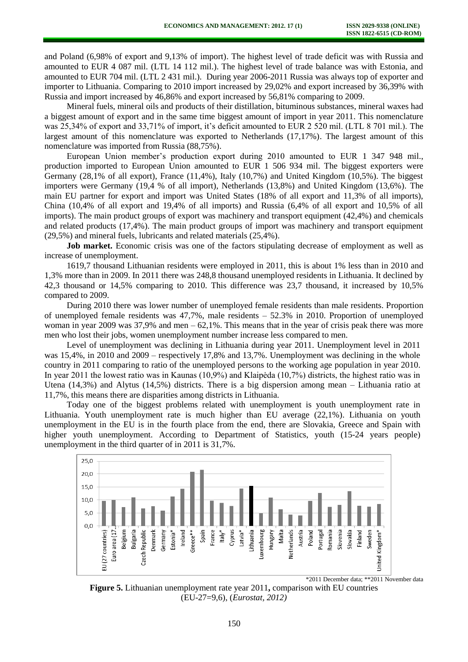and Poland (6,98% of export and 9,13% of import). The highest level of trade deficit was with Russia and amounted to EUR 4 087 mil. (LTL 14 112 mil.). The highest level of trade balance was with Estonia, and amounted to EUR 704 mil. (LTL 2 431 mil.). During year 2006-2011 Russia was always top of exporter and importer to Lithuania. Comparing to 2010 import increased by 29,02% and export increased by 36,39% with Russia and import increased by 46,86% and export increased by 56,81% comparing to 2009.

Mineral fuels, mineral oils and products of their distillation, bituminous substances, mineral waxes had a biggest amount of export and in the same time biggest amount of import in year 2011. This nomenclature was 25,34% of export and 33,71% of import, it's deficit amounted to EUR 2 520 mil. (LTL 8 701 mil.). The largest amount of this nomenclature was exported to Netherlands (17,17%). The largest amount of this nomenclature was imported from Russia (88,75%).

European Union member's production export during 2010 amounted to EUR 1 347 948 mil., production imported to European Union amounted to EUR 1 506 934 mil. The biggest exporters were Germany (28,1% of all export), France (11,4%), Italy (10,7%) and United Kingdom (10,5%). The biggest importers were Germany (19,4 % of all import), Netherlands (13,8%) and United Kingdom (13,6%). The main EU partner for export and import was United States (18% of all export and 11,3% of all imports), China (10,4% of all export and 19,4% of all imports) and Russia (6,4% of all export and 10,5% of all imports). The main product groups of export was machinery and transport equipment (42,4%) and chemicals and related products (17,4%). The main product groups of import was machinery and transport equipment (29,5%) and mineral fuels, lubricants and related materials (25,4%).

**Job market.** Economic crisis was one of the factors stipulating decrease of employment as well as increase of unemployment.

1619,7 thousand Lithuanian residents were employed in 2011, this is about 1% less than in 2010 and 1,3% more than in 2009. In 2011 there was 248,8 thousand unemployed residents in Lithuania. It declined by 42,3 thousand or 14,5% comparing to 2010. This difference was 23,7 thousand, it increased by 10,5% compared to 2009.

During 2010 there was lower number of unemployed female residents than male residents. Proportion of unemployed female residents was 47,7%, male residents – 52.3% in 2010. Proportion of unemployed woman in year 2009 was  $37,9\%$  and men – 62,1%. This means that in the year of crisis peak there was more men who lost their jobs, women unemployment number increase less compared to men.

Level of unemployment was declining in Lithuania during year 2011. Unemployment level in 2011 was 15,4%, in 2010 and 2009 – respectively 17,8% and 13,7%. Unemployment was declining in the whole country in 2011 comparing to ratio of the unemployed persons to the working age population in year 2010. In year 2011 the lowest ratio was in Kaunas (10,9%) and Klaipėda (10,7%) districts, the highest ratio was in Utena (14,3%) and Alytus (14,5%) districts. There is a big dispersion among mean – Lithuania ratio at 11,7%, this means there are disparities among districts in Lithuania.

Today one of the biggest problems related with unemployment is youth unemployment rate in Lithuania. Youth unemployment rate is much higher than EU average (22,1%). Lithuania on youth unemployment in the EU is in the fourth place from the end, there are Slovakia, Greece and Spain with higher youth unemployment. According to Department of Statistics, youth (15-24 years people) unemployment in the third quarter of in 2011 is 31,7%.



**Figure 5.** Lithuanian unemployment rate year 2011**,** comparison with EU countries (EU-27=9,6), (*Eurostat, 2012)*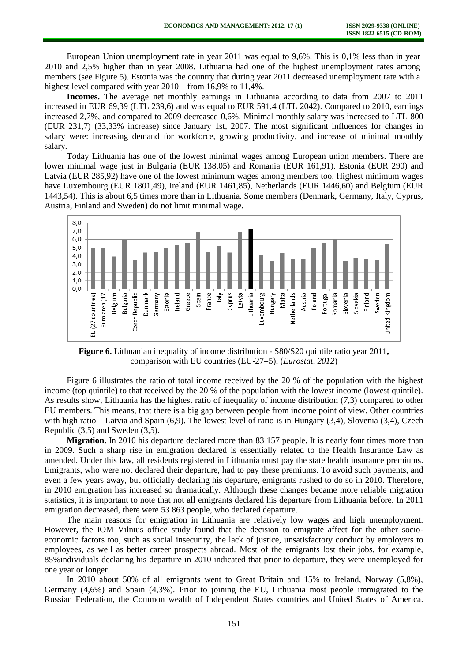European Union unemployment rate in year 2011 was equal to 9,6%. This is 0,1% less than in year 2010 and 2,5% higher than in year 2008. Lithuania had one of the highest unemployment rates among members (see Figure 5). Estonia was the country that during year 2011 decreased unemployment rate with a highest level compared with year  $2010$  – from 16,9% to 11,4%.

**Incomes.** The average net monthly earnings in Lithuania according to data from 2007 to 2011 increased in EUR 69,39 (LTL 239,6) and was equal to EUR 591,4 (LTL 2042). Compared to 2010, earnings increased 2,7%, and compared to 2009 decreased 0,6%. Minimal monthly salary was increased to LTL 800 (EUR 231,7) (33,33% increase) since January 1st, 2007. The most significant influences for changes in salary were: increasing demand for workforce, growing productivity, and increase of minimal monthly salary.

Today Lithuania has one of the lowest minimal wages among European union members. There are lower minimal wage just in Bulgaria (EUR 138,05) and Romania (EUR 161,91). Estonia (EUR 290) and Latvia (EUR 285,92) have one of the lowest minimum wages among members too. Highest minimum wages have Luxembourg (EUR 1801,49), Ireland (EUR 1461,85), Netherlands (EUR 1446,60) and Belgium (EUR 1443,54). This is about 6,5 times more than in Lithuania. Some members (Denmark, Germany, Italy, Cyprus, Austria, Finland and Sweden) do not limit minimal wage.



**Figure 6.** Lithuanian inequality of income distribution - S80/S20 quintile ratio year 2011**,**  comparison with EU countries (EU-27=5), (*Eurostat, 2012*)

Figure 6 illustrates the ratio of total income received by the 20 % of the population with the highest income (top quintile) to that received by the 20 % of the population with the lowest income (lowest quintile). As results show, Lithuania has the highest ratio of inequality of income distribution (7,3) compared to other EU members. This means, that there is a big gap between people from income point of view. Other countries with high ratio – Latvia and Spain (6,9). The lowest level of ratio is in Hungary (3,4), Slovenia (3,4), Czech Republic (3,5) and Sweden (3,5).

**Migration.** In 2010 his departure declared more than 83 157 people. It is nearly four times more than in 2009. Such a sharp rise in emigration declared is essentially related to the Health Insurance Law as amended. Under this law, all residents registered in Lithuania must pay the state health insurance premiums. Emigrants, who were not declared their departure, had to pay these premiums. To avoid such payments, and even a few years away, but officially declaring his departure, emigrants rushed to do so in 2010. Therefore, in 2010 emigration has increased so dramatically. Although these changes became more reliable migration statistics, it is important to note that not all emigrants declared his departure from Lithuania before. In 2011 emigration decreased, there were 53 863 people, who declared departure.

The main reasons for emigration in Lithuania are relatively low wages and high unemployment. However, the IOM Vilnius office study found that the decision to emigrate affect for the other socioeconomic factors too, such as social insecurity, the lack of justice, unsatisfactory conduct by employers to employees, as well as better career prospects abroad. Most of the emigrants lost their jobs, for example, 85%individuals declaring his departure in 2010 indicated that prior to departure, they were unemployed for one year or longer.

In 2010 about 50% of all emigrants went to Great Britain and 15% to Ireland, Norway (5,8%), Germany (4,6%) and Spain (4,3%). Prior to joining the EU, Lithuania most people immigrated to the Russian Federation, the Common wealth of Independent States countries and United States of America.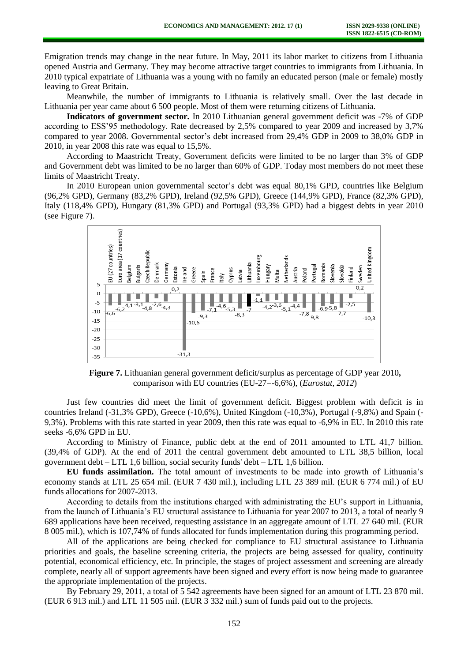Emigration trends may change in the near future. In May, 2011 its labor market to citizens from Lithuania opened Austria and Germany. They may become attractive target countries to immigrants from Lithuania. In 2010 typical expatriate of Lithuania was a young with no family an educated person (male or female) mostly leaving to Great Britain.

Meanwhile, the number of immigrants to Lithuania is relatively small. Over the last decade in Lithuania per year came about 6 500 people. Most of them were returning citizens of Lithuania.

**Indicators of government sector.** In 2010 Lithuanian general government deficit was -7% of GDP according to ESS'95 methodology. Rate decreased by 2,5% compared to year 2009 and increased by 3,7% compared to year 2008. Governmental sector's debt increased from 29,4% GDP in 2009 to 38,0% GDP in 2010, in year 2008 this rate was equal to 15,5%.

According to Maastricht Treaty, [Government deficits](http://www.unc.edu/depts/europe/euroeconomics/Budget%20Deficit%20and%20Debt.php) were limited to be no larger than 3% of GDP and [Government debt](http://www.unc.edu/depts/europe/euroeconomics/Budget%20Deficit%20and%20Debt.php) was limited to be no larger than 60% of GDP. Today most members do not meet these limits of Maastricht Treaty.

In 2010 European union governmental sector's debt was equal 80,1% GPD, countries like Belgium (96,2% GPD), Germany (83,2% GPD), Ireland (92,5% GPD), Greece (144,9% GPD), France (82,3% GPD), Italy (118,4% GPD), Hungary (81,3% GPD) and Portugal (93,3% GPD) had a biggest debts in year 2010 (see Figure 7).



**Figure 7.** Lithuanian general government deficit/surplus as percentage of GDP year 2010**,**  comparison with EU countries (EU-27=-6,6%), (*Eurostat, 2012*)

Just few countries did meet the limit of government deficit. Biggest problem with deficit is in countries Ireland (-31,3% GPD), Greece (-10,6%), United Kingdom (-10,3%), Portugal (-9,8%) and Spain (- 9,3%). Problems with this rate started in year 2009, then this rate was equal to -6,9% in EU. In 2010 this rate seeks -6,6% GPD in EU.

According to Ministry of Finance, public debt at the end of 2011 amounted to LTL 41,7 billion. (39,4% of GDP). At the end of 2011 the central government debt amounted to LTL 38,5 billion, local government debt – LTL 1,6 billion, social security funds' debt – LTL 1,6 billion.

**EU funds assimilation.** The total amount of investments to be made into growth of Lithuania's economy stands at LTL 25 654 mil. (EUR 7 430 mil.), including LTL 23 389 mil. (EUR 6 774 mil.) of EU funds allocations for 2007-2013.

According to details from the institutions charged with administrating the EU's support in Lithuania, from the launch of Lithuania's EU structural assistance to Lithuania for year 2007 to 2013, a total of nearly 9 689 applications have been received, requesting assistance in an aggregate amount of LTL 27 640 mil. (EUR 8 005 mil.), which is 107,74% of funds allocated for funds implementation during this programming period.

All of the applications are being checked for compliance to EU structural assistance to Lithuania priorities and goals, the baseline screening criteria, the projects are being assessed for quality, continuity potential, economical efficiency, etc. In principle, the stages of project assessment and screening are already complete, nearly all of support agreements have been signed and every effort is now being made to guarantee the appropriate implementation of the projects.

By February 29, 2011, a total of 5 542 agreements have been signed for an amount of LTL 23 870 mil. (EUR 6 913 mil.) and LTL 11 505 mil. (EUR 3 332 mil.) sum of funds paid out to the projects.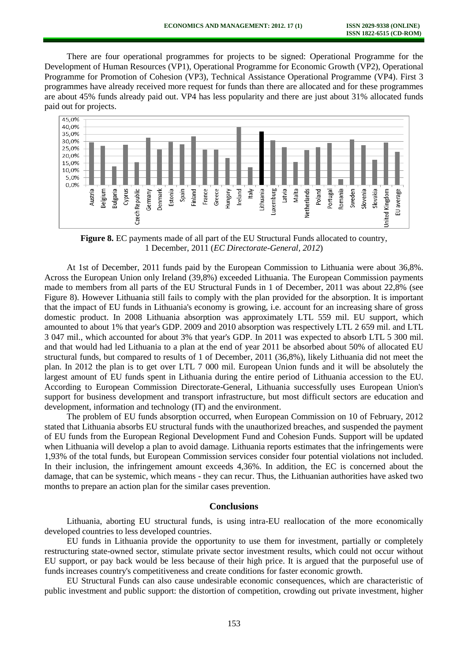There are four operational programmes for projects to be signed: Operational Programme for the Development of Human Resources (VP1), Operational Programme for Economic Growth (VP2), Operational Programme for Promotion of Cohesion (VP3), Technical Assistance Operational Programme (VP4). First 3 programmes have already received more request for funds than there are allocated and for these programmes are about 45% funds already paid out. VP4 has less popularity and there are just about 31% allocated funds paid out for projects.



**Figure 8.** EC payments made of all part of the EU Structural Funds allocated to country, 1 December, 2011 (*EC Directorate-General, 2012*)

At 1st of December, 2011 funds paid by the European Commission to Lithuania were about 36,8%. Across the European Union only Ireland (39,8%) exceeded Lithuania. The European Commission payments made to members from all parts of the EU Structural Funds in 1 of December, 2011 was about 22,8% (see Figure 8). However Lithuania still fails to comply with the plan provided for the absorption. It is important that the impact of EU funds in Lithuania's economy is growing, i.e. account for an increasing share of gross domestic product. In 2008 Lithuania absorption was approximately LTL 559 mil. EU support, which amounted to about 1% that year's GDP. 2009 and 2010 absorption was respectively LTL 2 659 mil. and LTL 3 047 mil., which accounted for about 3% that year's GDP. In 2011 was expected to absorb LTL 5 300 mil. and that would had led Lithuania to a plan at the end of year 2011 be absorbed about 50% of allocated EU structural funds, but compared to results of 1 of December, 2011 (36,8%), likely Lithuania did not meet the plan. In 2012 the plan is to get over LTL 7 000 mil. European Union funds and it will be absolutely the largest amount of EU funds spent in Lithuania during the entire period of Lithuania accession to the EU. According to European Commission Directorate-General, Lithuania successfully uses European Union's support for business development and transport infrastructure, but most difficult sectors are education and development, information and technology (IT) and the environment.

The problem of EU funds absorption occurred, when European Commission on 10 of February, 2012 stated that Lithuania absorbs EU structural funds with the unauthorized breaches, and suspended the payment of EU funds from the European Regional Development Fund and Cohesion Funds. Support will be updated when Lithuania will develop a plan to avoid damage. Lithuania reports estimates that the infringements were 1,93% of the total funds, but European Commission services consider four potential violations not included. In their inclusion, the infringement amount exceeds 4,36%. In addition, the EC is concerned about the damage, that can be systemic, which means - they can recur. Thus, the Lithuanian authorities have asked two months to prepare an action plan for the similar cases prevention.

### **Conclusions**

Lithuania, aborting EU structural funds, is using intra-EU reallocation of the more economically developed countries to less developed countries.

EU funds in Lithuania provide the opportunity to use them for investment, partially or completely restructuring state-owned sector, stimulate private sector investment results, which could not occur without EU support, or pay back would be less because of their high price. It is argued that the purposeful use of funds increases country's competitiveness and create conditions for faster economic growth.

EU Structural Funds can also cause undesirable economic consequences, which are characteristic of public investment and public support: the distortion of competition, crowding out private investment, higher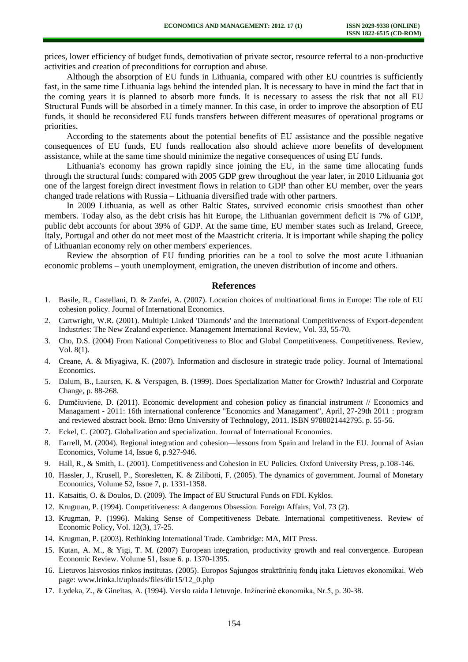prices, lower efficiency of budget funds, demotivation of private sector, resource referral to a non-productive activities and creation of preconditions for corruption and abuse.

Although the absorption of EU funds in Lithuania, compared with other EU countries is sufficiently fast, in the same time Lithuania lags behind the intended plan. It is necessary to have in mind the fact that in the coming years it is planned to absorb more funds. It is necessary to assess the risk that not all EU Structural Funds will be absorbed in a timely manner. In this case, in order to improve the absorption of EU funds, it should be reconsidered EU funds transfers between different measures of operational programs or priorities.

According to the statements about the potential benefits of EU assistance and the possible negative consequences of EU funds, EU funds reallocation also should achieve more benefits of development assistance, while at the same time should minimize the negative consequences of using EU funds.

Lithuania's economy has grown rapidly since joining the EU, in the same time allocating funds through the structural funds: compared with 2005 GDP grew throughout the year later, in 2010 Lithuania got one of the largest foreign direct investment flows in relation to GDP than other EU member, over the years changed trade relations with Russia – Lithuania diversified trade with other partners.

In 2009 Lithuania, as well as other Baltic States, survived economic crisis smoothest than other members. Today also, as the debt crisis has hit Europe, the Lithuanian government deficit is 7% of GDP, public debt accounts for about 39% of GDP. At the same time, EU member states such as Ireland, Greece, Italy, Portugal and other do not meet most of the Maastricht criteria. It is important while shaping the policy of Lithuanian economy rely on other members' experiences.

Review the absorption of EU funding priorities can be a tool to solve the most acute Lithuanian economic problems – youth unemployment, emigration, the uneven distribution of income and others.

#### **References**

- 1. Basile, R., Castellani, D. & Zanfei, A. (2007). Location choices of multinational firms in Europe: The role of EU cohesion policy. Journal of International Economics.
- 2. Cartwright, W.R. (2001). Multiple Linked 'Diamonds' and the International Competitiveness of Export-dependent Industries: The New Zealand experience. Management International Review, Vol. 33, 55-70.
- 3. Cho, D.S. (2004) From National Competitiveness to Bloc and Global Competitiveness. Competitiveness. Review, Vol. 8(1).
- 4. Creane, A. & Miyagiwa, K. (2007). Information and disclosure in strategic trade policy. Journal of International Economics.
- 5. Dalum, B., Laursen, K. & Verspagen, B. (1999). Does Specialization Matter for Growth? Industrial and Corporate Change, p. 88-268.
- 6. Dumčiuvienė, D. (2011). Economic development and cohesion policy as financial instrument // Economics and Managament - 2011: 16th international conference "Economics and Managament", April, 27-29th 2011 : program and reviewed abstract book. Brno: Brno University of Technology, 2011. ISBN 9788021442795. p. 55-56.
- 7. Eckel, C. (2007). Globalization and specialization. Journal of International Economics.
- 8. Farrell, M. (2004). Regional integration and cohesion—lessons from Spain and Ireland in the EU. Journal of Asian Economics, Volume 14, Issue 6, p.927-946.
- 9. Hall, R., & Smith, L. (2001). Competitiveness and Cohesion in EU Policies. Oxford University Press, p.108-146.
- 10. Hassler, J., Krusell, P., Storesletten, K. & Zilibotti, F. (2005). The dynamics of government. Journal of Monetary Economics, Volume 52, Issue 7, p. 1331-1358.
- 11. Katsaitis, O. & Doulos, D. (2009). The Impact of EU Structural Funds on FDI. Kyklos.
- 12. Krugman, P. (1994). Competitiveness: A dangerous Obsession. Foreign Affairs, Vol. 73 (2).
- 13. Krugman, P. (1996). Making Sense of Competitiveness Debate. International competitiveness. Review of Economic Policy, Vol. 12(3), 17-25.
- 14. Krugman, P. (2003). Rethinking International Trade. Cambridge: MA, MIT Press.
- 15. Kutan, A. M., & Yigi, T. M. (2007) European integration, productivity growth and real convergence. European Economic Review. Volume 51, Issue 6. p. 1370-1395.
- 16. Lietuvos laisvosios rinkos institutas. (2005). Europos Sąjungos struktūrinių fondų įtaka Lietuvos ekonomikai. Web page: www.lrinka.lt/uploads/files/dir15/12\_0.php
- 17. Lydeka, Z., & Gineitas, A. (1994). Verslo raida Lietuvoje. Inžinerinė ekonomika, Nr.5, p. 30-38.